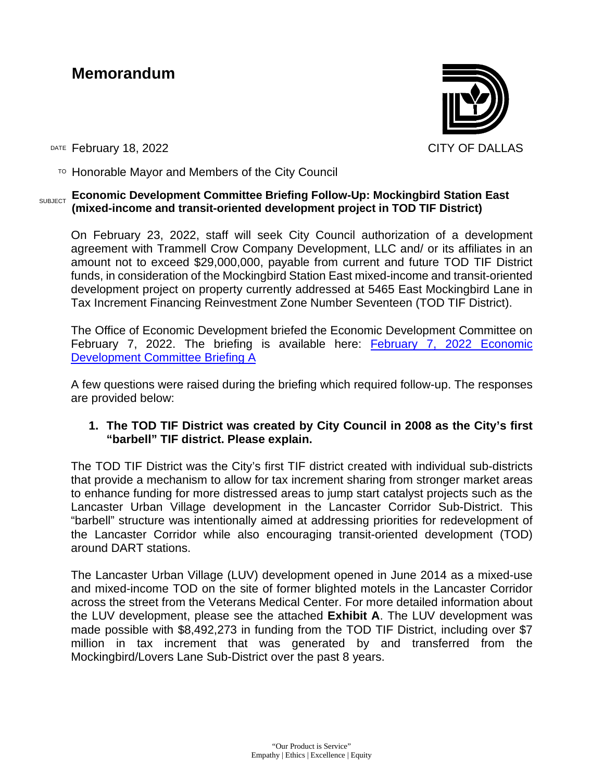## **Memorandum**



DATE February 18, 2022 **CITY OF DALLAS** 

 $T$ <sup>O</sup> Honorable Mayor and Members of the City Council

## **SUBJECT ECONOMIC Development Committee Briefing Follow-Up: Mockingbird Station East (mixed-income and transit-oriented development project in TOD TIF District)**

On February 23, 2022, staff will seek City Council authorization of a development agreement with Trammell Crow Company Development, LLC and/ or its affiliates in an amount not to exceed \$29,000,000, payable from current and future TOD TIF District funds, in consideration of the Mockingbird Station East mixed-income and transit-oriented development project on property currently addressed at 5465 East Mockingbird Lane in Tax Increment Financing Reinvestment Zone Number Seventeen (TOD TIF District).

The Office of Economic Development briefed the Economic Development Committee on February 7, 2022. The briefing is available here: [February 7, 2022 Economic](https://cityofdallas.legistar.com/LegislationDetail.aspx?ID=5446816&GUID=FA7A39C9-B232-4053-A66E-4B16165184BC&Options=&Search=)  [Development Committee Briefing A](https://cityofdallas.legistar.com/LegislationDetail.aspx?ID=5446816&GUID=FA7A39C9-B232-4053-A66E-4B16165184BC&Options=&Search=) 

A few questions were raised during the briefing which required follow-up. The responses are provided below:

## **1. The TOD TIF District was created by City Council in 2008 as the City's first "barbell" TIF district. Please explain.**

The TOD TIF District was the City's first TIF district created with individual sub-districts that provide a mechanism to allow for tax increment sharing from stronger market areas to enhance funding for more distressed areas to jump start catalyst projects such as the Lancaster Urban Village development in the Lancaster Corridor Sub-District. This "barbell" structure was intentionally aimed at addressing priorities for redevelopment of the Lancaster Corridor while also encouraging transit-oriented development (TOD) around DART stations.

The Lancaster Urban Village (LUV) development opened in June 2014 as a mixed-use and mixed-income TOD on the site of former blighted motels in the Lancaster Corridor across the street from the Veterans Medical Center. For more detailed information about the LUV development, please see the attached **Exhibit A**. The LUV development was made possible with \$8,492,273 in funding from the TOD TIF District, including over \$7 million in tax increment that was generated by and transferred from the Mockingbird/Lovers Lane Sub-District over the past 8 years.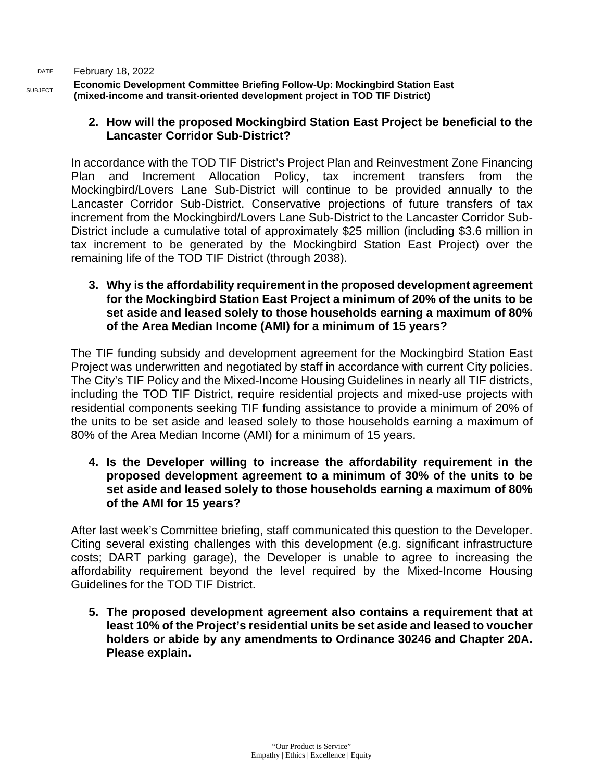DATE February 18, 2022

**Economic Development Committee Briefing Follow-Up: Mockingbird Station East (mixed-income and transit-oriented development project in TOD TIF District)**

> **2. How will the proposed Mockingbird Station East Project be beneficial to the Lancaster Corridor Sub-District?**

In accordance with the TOD TIF District's Project Plan and Reinvestment Zone Financing Plan and Increment Allocation Policy, tax increment transfers from the Mockingbird/Lovers Lane Sub-District will continue to be provided annually to the Lancaster Corridor Sub-District. Conservative projections of future transfers of tax increment from the Mockingbird/Lovers Lane Sub-District to the Lancaster Corridor Sub-District include a cumulative total of approximately \$25 million (including \$3.6 million in tax increment to be generated by the Mockingbird Station East Project) over the remaining life of the TOD TIF District (through 2038).

**3. Why is the affordability requirement in the proposed development agreement for the Mockingbird Station East Project a minimum of 20% of the units to be set aside and leased solely to those households earning a maximum of 80% of the Area Median Income (AMI) for a minimum of 15 years?**

The TIF funding subsidy and development agreement for the Mockingbird Station East Project was underwritten and negotiated by staff in accordance with current City policies. The City's TIF Policy and the Mixed-Income Housing Guidelines in nearly all TIF districts, including the TOD TIF District, require residential projects and mixed-use projects with residential components seeking TIF funding assistance to provide a minimum of 20% of the units to be set aside and leased solely to those households earning a maximum of 80% of the Area Median Income (AMI) for a minimum of 15 years.

**4. Is the Developer willing to increase the affordability requirement in the proposed development agreement to a minimum of 30% of the units to be set aside and leased solely to those households earning a maximum of 80% of the AMI for 15 years?**

After last week's Committee briefing, staff communicated this question to the Developer. Citing several existing challenges with this development (e.g. significant infrastructure costs; DART parking garage), the Developer is unable to agree to increasing the affordability requirement beyond the level required by the Mixed-Income Housing Guidelines for the TOD TIF District.

**5. The proposed development agreement also contains a requirement that at least 10% of the Project's residential units be set aside and leased to voucher holders or abide by any amendments to Ordinance 30246 and Chapter 20A. Please explain.**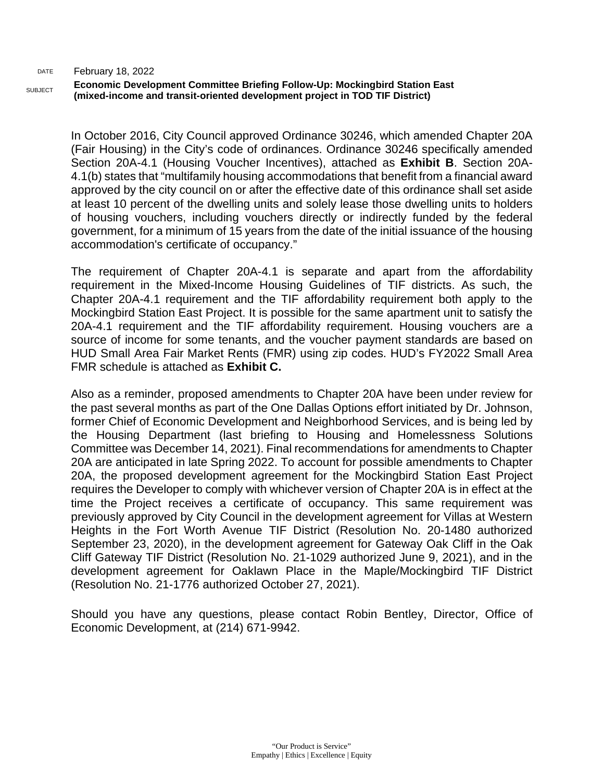### DATE February 18, 2022 **Economic Development Committee Briefing Follow-Up: Mockingbird Station East (mixed-income and transit-oriented development project in TOD TIF District)**

In October 2016, City Council approved Ordinance 30246, which amended Chapter 20A (Fair Housing) in the City's code of ordinances. Ordinance 30246 specifically amended Section 20A-4.1 (Housing Voucher Incentives), attached as **Exhibit B**. Section 20A-4.1(b) states that "multifamily housing accommodations that benefit from a financial award approved by the city council on or after the effective date of this ordinance shall set aside at least 10 percent of the dwelling units and solely lease those dwelling units to holders of housing vouchers, including vouchers directly or indirectly funded by the federal government, for a minimum of 15 years from the date of the initial issuance of the housing accommodation's certificate of occupancy."

The requirement of Chapter 20A-4.1 is separate and apart from the affordability requirement in the Mixed-Income Housing Guidelines of TIF districts. As such, the Chapter 20A-4.1 requirement and the TIF affordability requirement both apply to the Mockingbird Station East Project. It is possible for the same apartment unit to satisfy the 20A-4.1 requirement and the TIF affordability requirement. Housing vouchers are a source of income for some tenants, and the voucher payment standards are based on HUD Small Area Fair Market Rents (FMR) using zip codes. HUD's FY2022 Small Area FMR schedule is attached as **Exhibit C.**

Also as a reminder, proposed amendments to Chapter 20A have been under review for the past several months as part of the One Dallas Options effort initiated by Dr. Johnson, former Chief of Economic Development and Neighborhood Services, and is being led by the Housing Department (last briefing to Housing and Homelessness Solutions Committee was December 14, 2021). Final recommendations for amendments to Chapter 20A are anticipated in late Spring 2022. To account for possible amendments to Chapter 20A, the proposed development agreement for the Mockingbird Station East Project requires the Developer to comply with whichever version of Chapter 20A is in effect at the time the Project receives a certificate of occupancy. This same requirement was previously approved by City Council in the development agreement for Villas at Western Heights in the Fort Worth Avenue TIF District (Resolution No. 20-1480 authorized September 23, 2020), in the development agreement for Gateway Oak Cliff in the Oak Cliff Gateway TIF District (Resolution No. 21-1029 authorized June 9, 2021), and in the development agreement for Oaklawn Place in the Maple/Mockingbird TIF District (Resolution No. 21-1776 authorized October 27, 2021).

Should you have any questions, please contact Robin Bentley, Director, Office of Economic Development, at (214) 671-9942.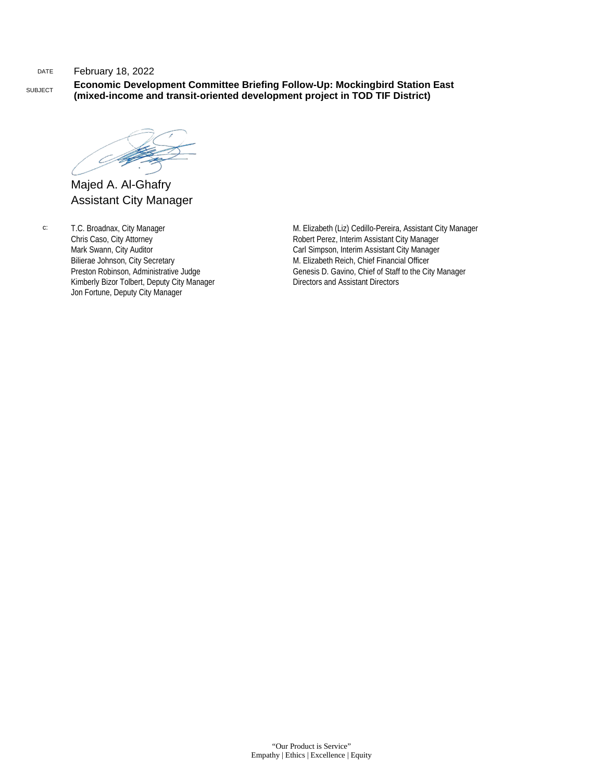#### DATE February 18, 2022

SUBJECT **Economic Development Committee Briefing Follow-Up: Mockingbird Station East (mixed-income and transit-oriented development project in TOD TIF District)**

9

Majed A. Al-Ghafry Assistant City Manager

c: T.C. Broadnax, City Manager Chris Caso, City Attorney Mark Swann, City Auditor Bilierae Johnson, City Secretary Preston Robinson, Administrative Judge Kimberly Bizor Tolbert, Deputy City Manager Jon Fortune, Deputy City Manager

M. Elizabeth (Liz) Cedillo-Pereira, Assistant City Manager Robert Perez, Interim Assistant City Manager Carl Simpson, Interim Assistant City Manager M. Elizabeth Reich, Chief Financial Officer Genesis D. Gavino, Chief of Staff to the City Manager Directors and Assistant Directors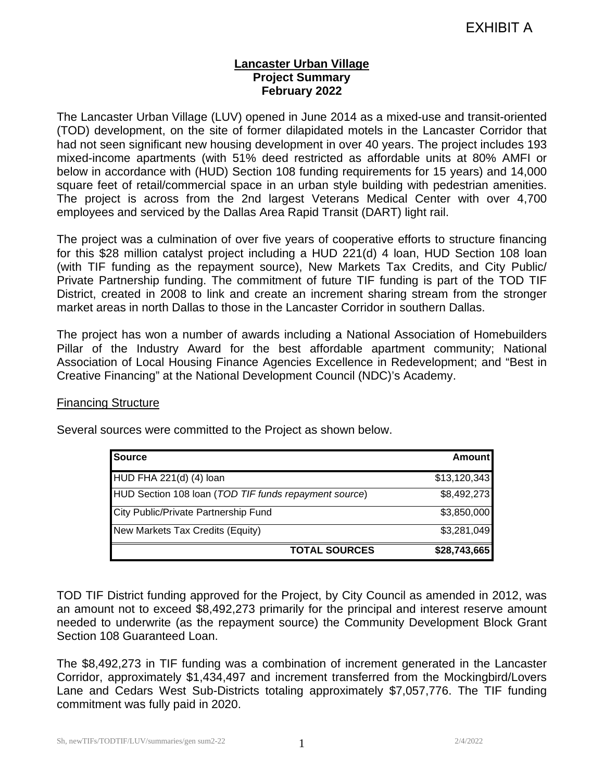## **Lancaster Urban Village Project Summary February 2022**

The Lancaster Urban Village (LUV) opened in June 2014 as a mixed-use and transit-oriented (TOD) development, on the site of former dilapidated motels in the Lancaster Corridor that had not seen significant new housing development in over 40 years. The project includes 193 mixed-income apartments (with 51% deed restricted as affordable units at 80% AMFI or below in accordance with (HUD) Section 108 funding requirements for 15 years) and 14,000 square feet of retail/commercial space in an urban style building with pedestrian amenities. The project is across from the 2nd largest Veterans Medical Center with over 4,700 employees and serviced by the Dallas Area Rapid Transit (DART) light rail.

The project was a culmination of over five years of cooperative efforts to structure financing for this \$28 million catalyst project including a HUD 221(d) 4 loan, HUD Section 108 loan (with TIF funding as the repayment source), New Markets Tax Credits, and City Public/ Private Partnership funding. The commitment of future TIF funding is part of the TOD TIF District, created in 2008 to link and create an increment sharing stream from the stronger market areas in north Dallas to those in the Lancaster Corridor in southern Dallas.

The project has won a number of awards including a National Association of Homebuilders Pillar of the Industry Award for the best affordable apartment community; National Association of Local Housing Finance Agencies Excellence in Redevelopment; and "Best in Creative Financing" at the National Development Council (NDC)'s Academy.

## Financing Structure

Several sources were committed to the Project as shown below.

| <b>Source</b>                                         | <b>Amount</b>  |
|-------------------------------------------------------|----------------|
| HUD FHA 221(d) (4) loan                               | \$13, 120, 343 |
| HUD Section 108 Ioan (TOD TIF funds repayment source) | \$8,492,273    |
| City Public/Private Partnership Fund                  | \$3,850,000    |
| New Markets Tax Credits (Equity)                      | \$3,281,049    |
| <b>TOTAL SOURCES</b>                                  | \$28,743,665   |

TOD TIF District funding approved for the Project, by City Council as amended in 2012, was an amount not to exceed \$8,492,273 primarily for the principal and interest reserve amount needed to underwrite (as the repayment source) the Community Development Block Grant Section 108 Guaranteed Loan.

The \$8,492,273 in TIF funding was a combination of increment generated in the Lancaster Corridor, approximately \$1,434,497 and increment transferred from the Mockingbird/Lovers Lane and Cedars West Sub-Districts totaling approximately \$7,057,776. The TIF funding commitment was fully paid in 2020.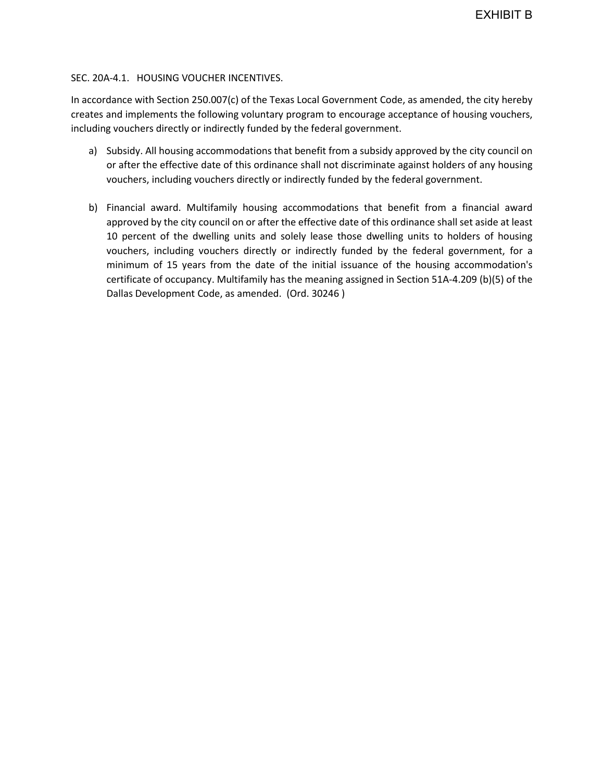#### SEC. 20A-4.1. HOUSING VOUCHER INCENTIVES.

In accordance with Section 250.007(c) of the Texas Local Government Code, as amended, the city hereby creates and implements the following voluntary program to encourage acceptance of housing vouchers, including vouchers directly or indirectly funded by the federal government.

- a) Subsidy. All housing accommodations that benefit from a subsidy approved by the city council on or after the effective date of this ordinance shall not discriminate against holders of any housing vouchers, including vouchers directly or indirectly funded by the federal government.
- b) Financial award. Multifamily housing accommodations that benefit from a financial award approved by the city council on or after the effective date of this ordinance shall set aside at least 10 percent of the dwelling units and solely lease those dwelling units to holders of housing vouchers, including vouchers directly or indirectly funded by the federal government, for a minimum of 15 years from the date of the initial issuance of the housing accommodation's certificate of occupancy. Multifamily has the meaning assigned in Section 51A-4.209 (b)(5) of the Dallas Development Code, as amended. (Ord. 30246 )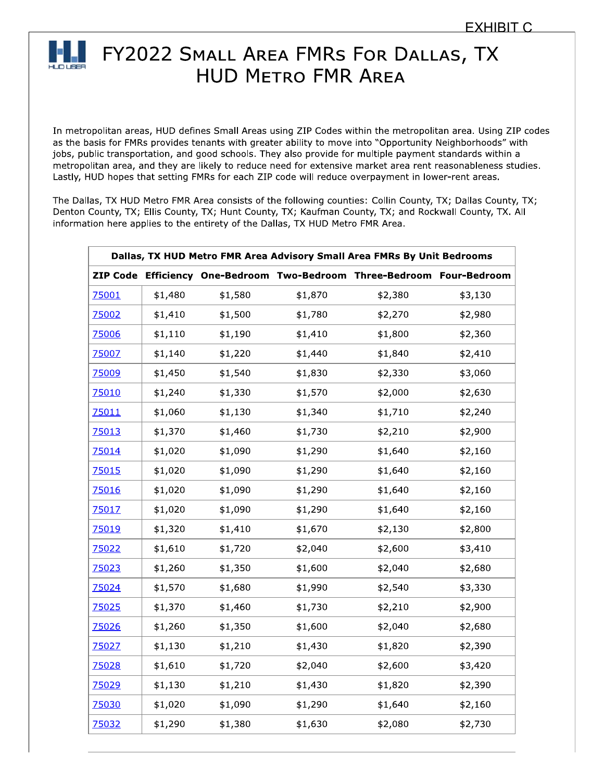

# FY2022 SMALL AREA FMRS FOR DALLAS, TX **HUD METRO FMR AREA**

In metropolitan areas, HUD defines Small Areas using ZIP Codes within the metropolitan area. Using ZIP codes as the basis for FMRs provides tenants with greater ability to move into "Opportunity Neighborhoods" with jobs, public transportation, and good schools. They also provide for multiple payment standards within a metropolitan area, and they are likely to reduce need for extensive market area rent reasonableness studies. Lastly, HUD hopes that setting FMRs for each ZIP code will reduce overpayment in lower-rent areas.

The Dallas, TX HUD Metro FMR Area consists of the following counties: Collin County, TX; Dallas County, TX; Denton County, TX; Ellis County, TX; Hunt County, TX; Kaufman County, TX; and Rockwall County, TX. All information here applies to the entirety of the Dallas, TX HUD Metro FMR Area.

| Dallas, TX HUD Metro FMR Area Advisory Small Area FMRs By Unit Bedrooms |         |         |         |                                                                        |         |  |
|-------------------------------------------------------------------------|---------|---------|---------|------------------------------------------------------------------------|---------|--|
|                                                                         |         |         |         | ZIP Code Efficiency One-Bedroom Two-Bedroom Three-Bedroom Four-Bedroom |         |  |
| 75001                                                                   | \$1,480 | \$1,580 | \$1,870 | \$2,380                                                                | \$3,130 |  |
| 75002                                                                   | \$1,410 | \$1,500 | \$1,780 | \$2,270                                                                | \$2,980 |  |
| 75006                                                                   | \$1,110 | \$1,190 | \$1,410 | \$1,800                                                                | \$2,360 |  |
| 75007                                                                   | \$1,140 | \$1,220 | \$1,440 | \$1,840                                                                | \$2,410 |  |
| 75009                                                                   | \$1,450 | \$1,540 | \$1,830 | \$2,330                                                                | \$3,060 |  |
| 75010                                                                   | \$1,240 | \$1,330 | \$1,570 | \$2,000                                                                | \$2,630 |  |
| 75011                                                                   | \$1,060 | \$1,130 | \$1,340 | \$1,710                                                                | \$2,240 |  |
| 75013                                                                   | \$1,370 | \$1,460 | \$1,730 | \$2,210                                                                | \$2,900 |  |
| 75014                                                                   | \$1,020 | \$1,090 | \$1,290 | \$1,640                                                                | \$2,160 |  |
| 75015                                                                   | \$1,020 | \$1,090 | \$1,290 | \$1,640                                                                | \$2,160 |  |
| 75016                                                                   | \$1,020 | \$1,090 | \$1,290 | \$1,640                                                                | \$2,160 |  |
| 75017                                                                   | \$1,020 | \$1,090 | \$1,290 | \$1,640                                                                | \$2,160 |  |
| 75019                                                                   | \$1,320 | \$1,410 | \$1,670 | \$2,130                                                                | \$2,800 |  |
| 75022                                                                   | \$1,610 | \$1,720 | \$2,040 | \$2,600                                                                | \$3,410 |  |
| 75023                                                                   | \$1,260 | \$1,350 | \$1,600 | \$2,040                                                                | \$2,680 |  |
| 75024                                                                   | \$1,570 | \$1,680 | \$1,990 | \$2,540                                                                | \$3,330 |  |
| <u>75025</u>                                                            | \$1,370 | \$1,460 | \$1,730 | \$2,210                                                                | \$2,900 |  |
| 75026                                                                   | \$1,260 | \$1,350 | \$1,600 | \$2,040                                                                | \$2,680 |  |
| 75027                                                                   | \$1,130 | \$1,210 | \$1,430 | \$1,820                                                                | \$2,390 |  |
| 75028                                                                   | \$1,610 | \$1,720 | \$2,040 | \$2,600                                                                | \$3,420 |  |
| 75029                                                                   | \$1,130 | \$1,210 | \$1,430 | \$1,820                                                                | \$2,390 |  |
| 75030                                                                   | \$1,020 | \$1,090 | \$1,290 | \$1,640                                                                | \$2,160 |  |
| 75032                                                                   | \$1,290 | \$1,380 | \$1,630 | \$2,080                                                                | \$2,730 |  |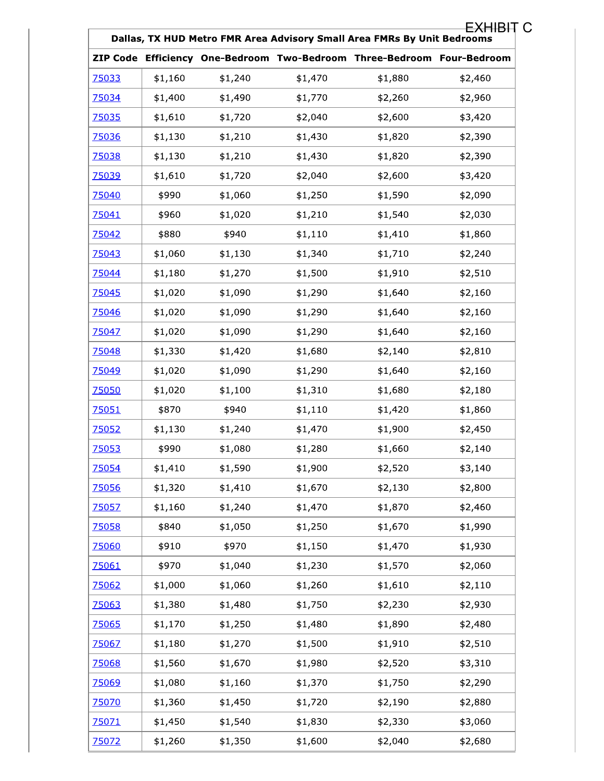| Dallas, TX HUD Metro FMR Area Advisory Small Area FMRs By Unit Bedrooms |         |         |         |                                                                        |         |  |
|-------------------------------------------------------------------------|---------|---------|---------|------------------------------------------------------------------------|---------|--|
|                                                                         |         |         |         | ZIP Code Efficiency One-Bedroom Two-Bedroom Three-Bedroom Four-Bedroom |         |  |
| 75033                                                                   | \$1,160 | \$1,240 | \$1,470 | \$1,880                                                                | \$2,460 |  |
| 75034                                                                   | \$1,400 | \$1,490 | \$1,770 | \$2,260                                                                | \$2,960 |  |
| 75035                                                                   | \$1,610 | \$1,720 | \$2,040 | \$2,600                                                                | \$3,420 |  |
| 75036                                                                   | \$1,130 | \$1,210 | \$1,430 | \$1,820                                                                | \$2,390 |  |
| 75038                                                                   | \$1,130 | \$1,210 | \$1,430 | \$1,820                                                                | \$2,390 |  |
| 75039                                                                   | \$1,610 | \$1,720 | \$2,040 | \$2,600                                                                | \$3,420 |  |
| 75040                                                                   | \$990   | \$1,060 | \$1,250 | \$1,590                                                                | \$2,090 |  |
| 75041                                                                   | \$960   | \$1,020 | \$1,210 | \$1,540                                                                | \$2,030 |  |
| 75042                                                                   | \$880   | \$940   | \$1,110 | \$1,410                                                                | \$1,860 |  |
| 75043                                                                   | \$1,060 | \$1,130 | \$1,340 | \$1,710                                                                | \$2,240 |  |
| 75044                                                                   | \$1,180 | \$1,270 | \$1,500 | \$1,910                                                                | \$2,510 |  |
| 75045                                                                   | \$1,020 | \$1,090 | \$1,290 | \$1,640                                                                | \$2,160 |  |
| 75046                                                                   | \$1,020 | \$1,090 | \$1,290 | \$1,640                                                                | \$2,160 |  |
| 75047                                                                   | \$1,020 | \$1,090 | \$1,290 | \$1,640                                                                | \$2,160 |  |
| 75048                                                                   | \$1,330 | \$1,420 | \$1,680 | \$2,140                                                                | \$2,810 |  |
| 75049                                                                   | \$1,020 | \$1,090 | \$1,290 | \$1,640                                                                | \$2,160 |  |
| 75050                                                                   | \$1,020 | \$1,100 | \$1,310 | \$1,680                                                                | \$2,180 |  |
| 75051                                                                   | \$870   | \$940   | \$1,110 | \$1,420                                                                | \$1,860 |  |
| 75052                                                                   | \$1,130 | \$1,240 | \$1,470 | \$1,900                                                                | \$2,450 |  |
| 75053                                                                   | \$990   | \$1,080 | \$1,280 | \$1,660                                                                | \$2,140 |  |
| <u>75054</u>                                                            | \$1,410 | \$1,590 | \$1,900 | \$2,520                                                                | \$3,140 |  |
| 75056                                                                   | \$1,320 | \$1,410 | \$1,670 | \$2,130                                                                | \$2,800 |  |
| 75057                                                                   | \$1,160 | \$1,240 | \$1,470 | \$1,870                                                                | \$2,460 |  |
| 75058                                                                   | \$840   | \$1,050 | \$1,250 | \$1,670                                                                | \$1,990 |  |
| 75060                                                                   | \$910   | \$970   | \$1,150 | \$1,470                                                                | \$1,930 |  |
| 75061                                                                   | \$970   | \$1,040 | \$1,230 | \$1,570                                                                | \$2,060 |  |
| 75062                                                                   | \$1,000 | \$1,060 | \$1,260 | \$1,610                                                                | \$2,110 |  |
| 75063                                                                   | \$1,380 | \$1,480 | \$1,750 | \$2,230                                                                | \$2,930 |  |
| 75065                                                                   | \$1,170 | \$1,250 | \$1,480 | \$1,890                                                                | \$2,480 |  |
| 75067                                                                   | \$1,180 | \$1,270 | \$1,500 | \$1,910                                                                | \$2,510 |  |
| 75068                                                                   | \$1,560 | \$1,670 | \$1,980 | \$2,520                                                                | \$3,310 |  |
| 75069                                                                   | \$1,080 | \$1,160 | \$1,370 | \$1,750                                                                | \$2,290 |  |
| 75070                                                                   | \$1,360 | \$1,450 | \$1,720 | \$2,190                                                                | \$2,880 |  |
| 75071                                                                   | \$1,450 | \$1,540 | \$1,830 | \$2,330                                                                | \$3,060 |  |
| 75072                                                                   | \$1,260 | \$1,350 | \$1,600 | \$2,040                                                                | \$2,680 |  |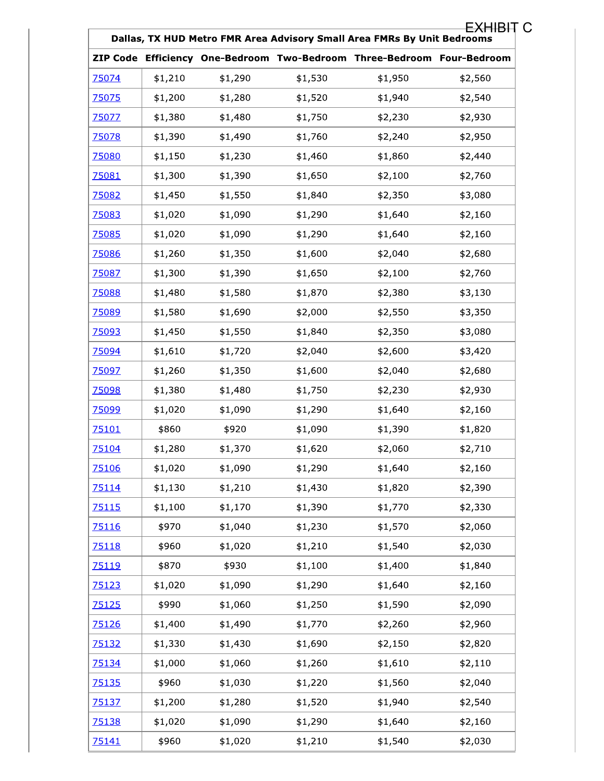| Dallas, TX HUD Metro FMR Area Advisory Small Area FMRs By Unit Bedrooms |         |         |         |                                                                        |         |  |
|-------------------------------------------------------------------------|---------|---------|---------|------------------------------------------------------------------------|---------|--|
|                                                                         |         |         |         | ZIP Code Efficiency One-Bedroom Two-Bedroom Three-Bedroom Four-Bedroom |         |  |
| <u>75074</u>                                                            | \$1,210 | \$1,290 | \$1,530 | \$1,950                                                                | \$2,560 |  |
| 75075                                                                   | \$1,200 | \$1,280 | \$1,520 | \$1,940                                                                | \$2,540 |  |
| 75077                                                                   | \$1,380 | \$1,480 | \$1,750 | \$2,230                                                                | \$2,930 |  |
| 75078                                                                   | \$1,390 | \$1,490 | \$1,760 | \$2,240                                                                | \$2,950 |  |
| 75080                                                                   | \$1,150 | \$1,230 | \$1,460 | \$1,860                                                                | \$2,440 |  |
| 75081                                                                   | \$1,300 | \$1,390 | \$1,650 | \$2,100                                                                | \$2,760 |  |
| 75082                                                                   | \$1,450 | \$1,550 | \$1,840 | \$2,350                                                                | \$3,080 |  |
| 75083                                                                   | \$1,020 | \$1,090 | \$1,290 | \$1,640                                                                | \$2,160 |  |
| 75085                                                                   | \$1,020 | \$1,090 | \$1,290 | \$1,640                                                                | \$2,160 |  |
| 75086                                                                   | \$1,260 | \$1,350 | \$1,600 | \$2,040                                                                | \$2,680 |  |
| 75087                                                                   | \$1,300 | \$1,390 | \$1,650 | \$2,100                                                                | \$2,760 |  |
| 75088                                                                   | \$1,480 | \$1,580 | \$1,870 | \$2,380                                                                | \$3,130 |  |
| 75089                                                                   | \$1,580 | \$1,690 | \$2,000 | \$2,550                                                                | \$3,350 |  |
| <u>75093</u>                                                            | \$1,450 | \$1,550 | \$1,840 | \$2,350                                                                | \$3,080 |  |
| 75094                                                                   | \$1,610 | \$1,720 | \$2,040 | \$2,600                                                                | \$3,420 |  |
| 75097                                                                   | \$1,260 | \$1,350 | \$1,600 | \$2,040                                                                | \$2,680 |  |
| 75098                                                                   | \$1,380 | \$1,480 | \$1,750 | \$2,230                                                                | \$2,930 |  |
| 75099                                                                   | \$1,020 | \$1,090 | \$1,290 | \$1,640                                                                | \$2,160 |  |
| 75101                                                                   | \$860   | \$920   | \$1,090 | \$1,390                                                                | \$1,820 |  |
| 75104                                                                   | \$1,280 | \$1,370 | \$1,620 | \$2,060                                                                | \$2,710 |  |
| 75106                                                                   | \$1,020 | \$1,090 | \$1,290 | \$1,640                                                                | \$2,160 |  |
| 75114                                                                   | \$1,130 | \$1,210 | \$1,430 | \$1,820                                                                | \$2,390 |  |
| 75115                                                                   | \$1,100 | \$1,170 | \$1,390 | \$1,770                                                                | \$2,330 |  |
| <u>75116</u>                                                            | \$970   | \$1,040 | \$1,230 | \$1,570                                                                | \$2,060 |  |
| 75118                                                                   | \$960   | \$1,020 | \$1,210 | \$1,540                                                                | \$2,030 |  |
| 75119                                                                   | \$870   | \$930   | \$1,100 | \$1,400                                                                | \$1,840 |  |
| 75123                                                                   | \$1,020 | \$1,090 | \$1,290 | \$1,640                                                                | \$2,160 |  |
| 75125                                                                   | \$990   | \$1,060 | \$1,250 | \$1,590                                                                | \$2,090 |  |
| 75126                                                                   | \$1,400 | \$1,490 | \$1,770 | \$2,260                                                                | \$2,960 |  |
| 75132                                                                   | \$1,330 | \$1,430 | \$1,690 | \$2,150                                                                | \$2,820 |  |
| 75134                                                                   | \$1,000 | \$1,060 | \$1,260 | \$1,610                                                                | \$2,110 |  |
| <u>75135</u>                                                            | \$960   | \$1,030 | \$1,220 | \$1,560                                                                | \$2,040 |  |
| 75137                                                                   | \$1,200 | \$1,280 | \$1,520 | \$1,940                                                                | \$2,540 |  |
| 75138                                                                   | \$1,020 | \$1,090 | \$1,290 | \$1,640                                                                | \$2,160 |  |
| 75141                                                                   | \$960   | \$1,020 | \$1,210 | \$1,540                                                                | \$2,030 |  |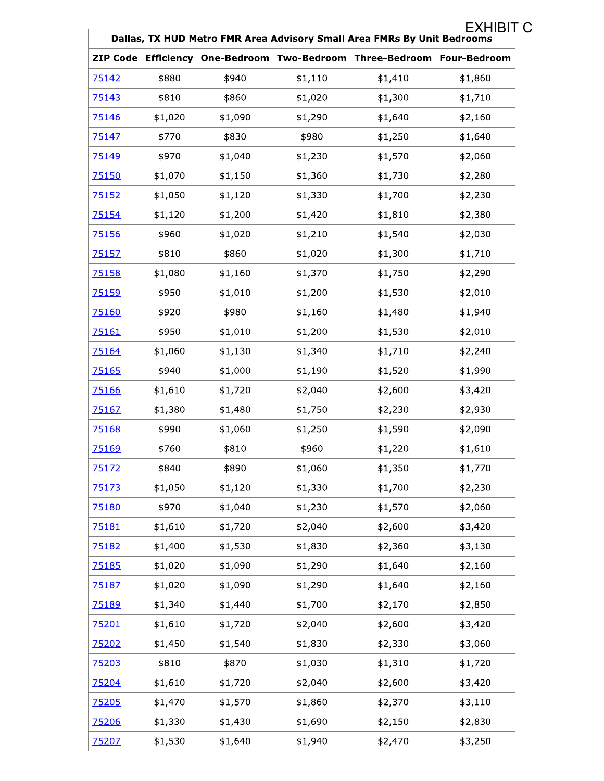| Dallas, TX HUD Metro FMR Area Advisory Small Area FMRs By Unit Bedrooms<br>ZIP Code Efficiency One-Bedroom Two-Bedroom Three-Bedroom Four-Bedroom |         |         |         |         |         |  |
|---------------------------------------------------------------------------------------------------------------------------------------------------|---------|---------|---------|---------|---------|--|
|                                                                                                                                                   |         |         |         |         |         |  |
| 75142                                                                                                                                             | \$880   | \$940   | \$1,110 | \$1,410 | \$1,860 |  |
| 75143                                                                                                                                             | \$810   | \$860   | \$1,020 | \$1,300 | \$1,710 |  |
| 75146                                                                                                                                             | \$1,020 | \$1,090 | \$1,290 | \$1,640 | \$2,160 |  |
| 75147                                                                                                                                             | \$770   | \$830   | \$980   | \$1,250 | \$1,640 |  |
| 75149                                                                                                                                             | \$970   | \$1,040 | \$1,230 | \$1,570 | \$2,060 |  |
| 75150                                                                                                                                             | \$1,070 | \$1,150 | \$1,360 | \$1,730 | \$2,280 |  |
| 75152                                                                                                                                             | \$1,050 | \$1,120 | \$1,330 | \$1,700 | \$2,230 |  |
| 75154                                                                                                                                             | \$1,120 | \$1,200 | \$1,420 | \$1,810 | \$2,380 |  |
| 75156                                                                                                                                             | \$960   | \$1,020 | \$1,210 | \$1,540 | \$2,030 |  |
| 75157                                                                                                                                             | \$810   | \$860   | \$1,020 | \$1,300 | \$1,710 |  |
| 75158                                                                                                                                             | \$1,080 | \$1,160 | \$1,370 | \$1,750 | \$2,290 |  |
| 75159                                                                                                                                             | \$950   | \$1,010 | \$1,200 | \$1,530 | \$2,010 |  |
| 75160                                                                                                                                             | \$920   | \$980   | \$1,160 | \$1,480 | \$1,940 |  |
| 75161                                                                                                                                             | \$950   | \$1,010 | \$1,200 | \$1,530 | \$2,010 |  |
| 75164                                                                                                                                             | \$1,060 | \$1,130 | \$1,340 | \$1,710 | \$2,240 |  |
| 75165                                                                                                                                             | \$940   | \$1,000 | \$1,190 | \$1,520 | \$1,990 |  |
| 75166                                                                                                                                             | \$1,610 | \$1,720 | \$2,040 | \$2,600 | \$3,420 |  |
| 75167                                                                                                                                             | \$1,380 | \$1,480 | \$1,750 | \$2,230 | \$2,930 |  |
| 75168                                                                                                                                             | \$990   | \$1,060 | \$1,250 | \$1,590 | \$2,090 |  |
| 75169                                                                                                                                             | \$760   | \$810   | \$960   | \$1,220 | \$1,610 |  |
| 75172                                                                                                                                             | \$840   | \$890   | \$1,060 | \$1,350 | \$1,770 |  |
| 75173                                                                                                                                             | \$1,050 | \$1,120 | \$1,330 | \$1,700 | \$2,230 |  |
| 75180                                                                                                                                             | \$970   | \$1,040 | \$1,230 | \$1,570 | \$2,060 |  |
| <u>75181</u>                                                                                                                                      | \$1,610 | \$1,720 | \$2,040 | \$2,600 | \$3,420 |  |
| 75182                                                                                                                                             | \$1,400 | \$1,530 | \$1,830 | \$2,360 | \$3,130 |  |
| 75185                                                                                                                                             | \$1,020 | \$1,090 | \$1,290 | \$1,640 | \$2,160 |  |
| 75187                                                                                                                                             | \$1,020 | \$1,090 | \$1,290 | \$1,640 | \$2,160 |  |
| 75189                                                                                                                                             | \$1,340 | \$1,440 | \$1,700 | \$2,170 | \$2,850 |  |
| 75201                                                                                                                                             | \$1,610 | \$1,720 | \$2,040 | \$2,600 | \$3,420 |  |
| <u>75202</u>                                                                                                                                      | \$1,450 | \$1,540 | \$1,830 | \$2,330 | \$3,060 |  |
| 75203                                                                                                                                             | \$810   | \$870   | \$1,030 | \$1,310 | \$1,720 |  |
| 75204                                                                                                                                             | \$1,610 | \$1,720 | \$2,040 | \$2,600 | \$3,420 |  |
| <u>75205</u>                                                                                                                                      | \$1,470 | \$1,570 | \$1,860 | \$2,370 | \$3,110 |  |
| 75206                                                                                                                                             | \$1,330 | \$1,430 | \$1,690 | \$2,150 | \$2,830 |  |
| 75207                                                                                                                                             | \$1,530 | \$1,640 | \$1,940 | \$2,470 | \$3,250 |  |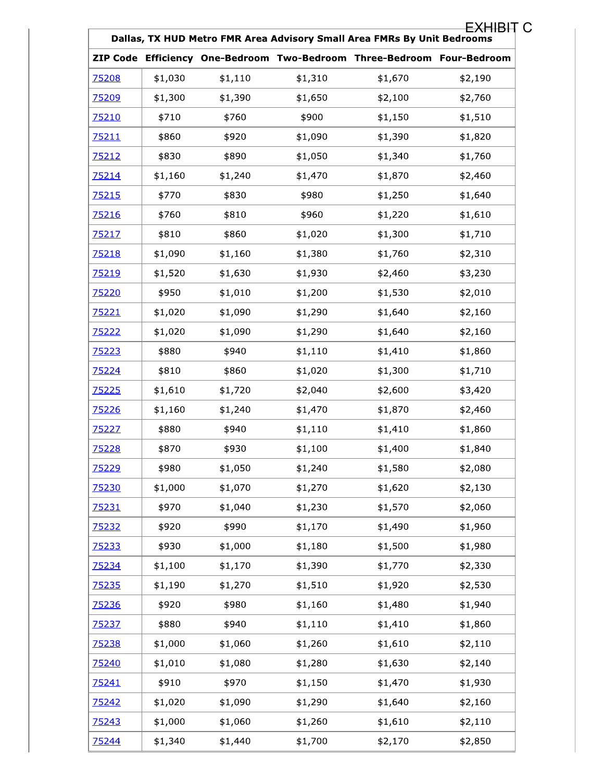| Dallas, TX HUD Metro FMR Area Advisory Small Area FMRs By Unit Bedrooms |         |         |         |                                                                        |         |  |
|-------------------------------------------------------------------------|---------|---------|---------|------------------------------------------------------------------------|---------|--|
|                                                                         |         |         |         | ZIP Code Efficiency One-Bedroom Two-Bedroom Three-Bedroom Four-Bedroom |         |  |
| <u>75208</u>                                                            | \$1,030 | \$1,110 | \$1,310 | \$1,670                                                                | \$2,190 |  |
| 75209                                                                   | \$1,300 | \$1,390 | \$1,650 | \$2,100                                                                | \$2,760 |  |
| <u>75210</u>                                                            | \$710   | \$760   | \$900   | \$1,150                                                                | \$1,510 |  |
| 75211                                                                   | \$860   | \$920   | \$1,090 | \$1,390                                                                | \$1,820 |  |
| 75212                                                                   | \$830   | \$890   | \$1,050 | \$1,340                                                                | \$1,760 |  |
| 75214                                                                   | \$1,160 | \$1,240 | \$1,470 | \$1,870                                                                | \$2,460 |  |
| 75215                                                                   | \$770   | \$830   | \$980   | \$1,250                                                                | \$1,640 |  |
| 75216                                                                   | \$760   | \$810   | \$960   | \$1,220                                                                | \$1,610 |  |
| 75217                                                                   | \$810   | \$860   | \$1,020 | \$1,300                                                                | \$1,710 |  |
| 75218                                                                   | \$1,090 | \$1,160 | \$1,380 | \$1,760                                                                | \$2,310 |  |
| 75219                                                                   | \$1,520 | \$1,630 | \$1,930 | \$2,460                                                                | \$3,230 |  |
| 75220                                                                   | \$950   | \$1,010 | \$1,200 | \$1,530                                                                | \$2,010 |  |
| 75221                                                                   | \$1,020 | \$1,090 | \$1,290 | \$1,640                                                                | \$2,160 |  |
| <u>75222</u>                                                            | \$1,020 | \$1,090 | \$1,290 | \$1,640                                                                | \$2,160 |  |
| 75223                                                                   | \$880   | \$940   | \$1,110 | \$1,410                                                                | \$1,860 |  |
| 75224                                                                   | \$810   | \$860   | \$1,020 | \$1,300                                                                | \$1,710 |  |
| 75225                                                                   | \$1,610 | \$1,720 | \$2,040 | \$2,600                                                                | \$3,420 |  |
| 75226                                                                   | \$1,160 | \$1,240 | \$1,470 | \$1,870                                                                | \$2,460 |  |
| 75227                                                                   | \$880   | \$940   | \$1,110 | \$1,410                                                                | \$1,860 |  |
| 75228                                                                   | \$870   | \$930   | \$1,100 | \$1,400                                                                | \$1,840 |  |
| <u>75229</u>                                                            | \$980   | \$1,050 | \$1,240 | \$1,580                                                                | \$2,080 |  |
| 75230                                                                   | \$1,000 | \$1,070 | \$1,270 | \$1,620                                                                | \$2,130 |  |
| 75231                                                                   | \$970   | \$1,040 | \$1,230 | \$1,570                                                                | \$2,060 |  |
| <u>75232</u>                                                            | \$920   | \$990   | \$1,170 | \$1,490                                                                | \$1,960 |  |
| 75233                                                                   | \$930   | \$1,000 | \$1,180 | \$1,500                                                                | \$1,980 |  |
| 75234                                                                   | \$1,100 | \$1,170 | \$1,390 | \$1,770                                                                | \$2,330 |  |
| 75235                                                                   | \$1,190 | \$1,270 | \$1,510 | \$1,920                                                                | \$2,530 |  |
| 75236                                                                   | \$920   | \$980   | \$1,160 | \$1,480                                                                | \$1,940 |  |
| 75237                                                                   | \$880   | \$940   | \$1,110 | \$1,410                                                                | \$1,860 |  |
| <u>75238</u>                                                            | \$1,000 | \$1,060 | \$1,260 | \$1,610                                                                | \$2,110 |  |
| 75240                                                                   | \$1,010 | \$1,080 | \$1,280 | \$1,630                                                                | \$2,140 |  |
| 75241                                                                   | \$910   | \$970   | \$1,150 | \$1,470                                                                | \$1,930 |  |
| <u>75242</u>                                                            | \$1,020 | \$1,090 | \$1,290 | \$1,640                                                                | \$2,160 |  |
| 75243                                                                   | \$1,000 | \$1,060 | \$1,260 | \$1,610                                                                | \$2,110 |  |
| 75244                                                                   | \$1,340 | \$1,440 | \$1,700 | \$2,170                                                                | \$2,850 |  |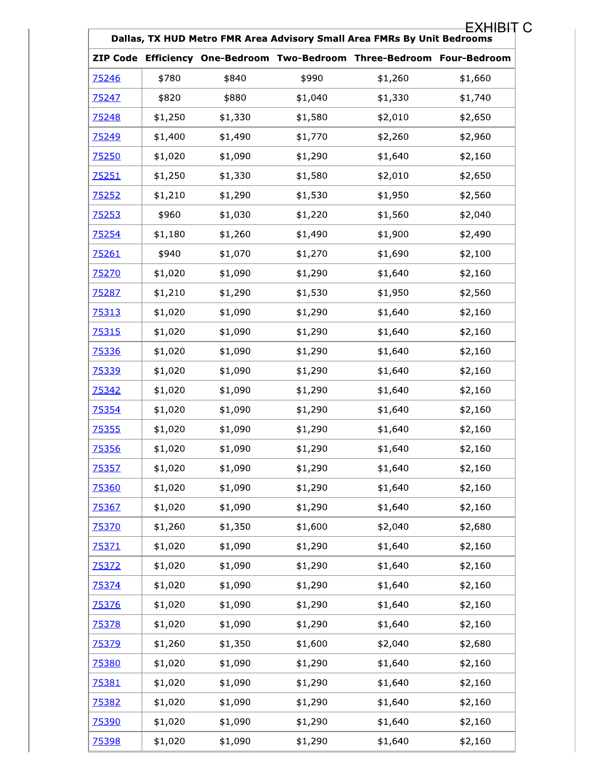| ZIP Code Efficiency One-Bedroom Two-Bedroom Three-Bedroom Four-Bedroom |         |         |         |         |         |  |  |
|------------------------------------------------------------------------|---------|---------|---------|---------|---------|--|--|
| 75246                                                                  | \$780   | \$840   | \$990   | \$1,260 | \$1,660 |  |  |
| 75247                                                                  | \$820   | \$880   | \$1,040 | \$1,330 | \$1,740 |  |  |
| 75248                                                                  | \$1,250 | \$1,330 | \$1,580 | \$2,010 | \$2,650 |  |  |
| 75249                                                                  | \$1,400 | \$1,490 | \$1,770 | \$2,260 | \$2,960 |  |  |
| 75250                                                                  | \$1,020 | \$1,090 | \$1,290 | \$1,640 | \$2,160 |  |  |
| 75251                                                                  | \$1,250 | \$1,330 | \$1,580 | \$2,010 | \$2,650 |  |  |
| <u>75252</u>                                                           | \$1,210 | \$1,290 | \$1,530 | \$1,950 | \$2,560 |  |  |
| <u>75253</u>                                                           | \$960   | \$1,030 | \$1,220 | \$1,560 | \$2,040 |  |  |
| 75254                                                                  | \$1,180 | \$1,260 | \$1,490 | \$1,900 | \$2,490 |  |  |
| 75261                                                                  | \$940   | \$1,070 | \$1,270 | \$1,690 | \$2,100 |  |  |
| 75270                                                                  | \$1,020 | \$1,090 | \$1,290 | \$1,640 | \$2,160 |  |  |
| <u>75287</u>                                                           | \$1,210 | \$1,290 | \$1,530 | \$1,950 | \$2,560 |  |  |
| 75313                                                                  | \$1,020 | \$1,090 | \$1,290 | \$1,640 | \$2,160 |  |  |
| 75315                                                                  | \$1,020 | \$1,090 | \$1,290 | \$1,640 | \$2,160 |  |  |
| 75336                                                                  | \$1,020 | \$1,090 | \$1,290 | \$1,640 | \$2,160 |  |  |
| 75339                                                                  | \$1,020 | \$1,090 | \$1,290 | \$1,640 | \$2,160 |  |  |
| 75342                                                                  | \$1,020 | \$1,090 | \$1,290 | \$1,640 | \$2,160 |  |  |
| 75354                                                                  | \$1,020 | \$1,090 | \$1,290 | \$1,640 | \$2,160 |  |  |
| 75355                                                                  | \$1,020 | \$1,090 | \$1,290 | \$1,640 | \$2,160 |  |  |
| <u>75356</u>                                                           | \$1,020 | \$1,090 | \$1,290 | \$1,640 | \$2,160 |  |  |
| 75357                                                                  | \$1,020 | \$1,090 | \$1,290 | \$1,640 | \$2,160 |  |  |
| 75360                                                                  | \$1,020 | \$1,090 | \$1,290 | \$1,640 | \$2,160 |  |  |
| 75367                                                                  | \$1,020 | \$1,090 | \$1,290 | \$1,640 | \$2,160 |  |  |
| 75370                                                                  | \$1,260 | \$1,350 | \$1,600 | \$2,040 | \$2,680 |  |  |
| 75371                                                                  | \$1,020 | \$1,090 | \$1,290 | \$1,640 | \$2,160 |  |  |
| <u>75372</u>                                                           | \$1,020 | \$1,090 | \$1,290 | \$1,640 | \$2,160 |  |  |
| <u>75374</u>                                                           | \$1,020 | \$1,090 | \$1,290 | \$1,640 | \$2,160 |  |  |
| 75376                                                                  | \$1,020 | \$1,090 | \$1,290 | \$1,640 | \$2,160 |  |  |
| 75378                                                                  | \$1,020 | \$1,090 | \$1,290 | \$1,640 | \$2,160 |  |  |
| 75379                                                                  | \$1,260 | \$1,350 | \$1,600 | \$2,040 | \$2,680 |  |  |
| 75380                                                                  | \$1,020 | \$1,090 | \$1,290 | \$1,640 | \$2,160 |  |  |
| 75381                                                                  | \$1,020 | \$1,090 | \$1,290 | \$1,640 | \$2,160 |  |  |
| <u>75382</u>                                                           | \$1,020 | \$1,090 | \$1,290 | \$1,640 | \$2,160 |  |  |
| 75390                                                                  | \$1,020 | \$1,090 | \$1,290 | \$1,640 | \$2,160 |  |  |
| 75398                                                                  | \$1,020 | \$1,090 | \$1,290 | \$1,640 | \$2,160 |  |  |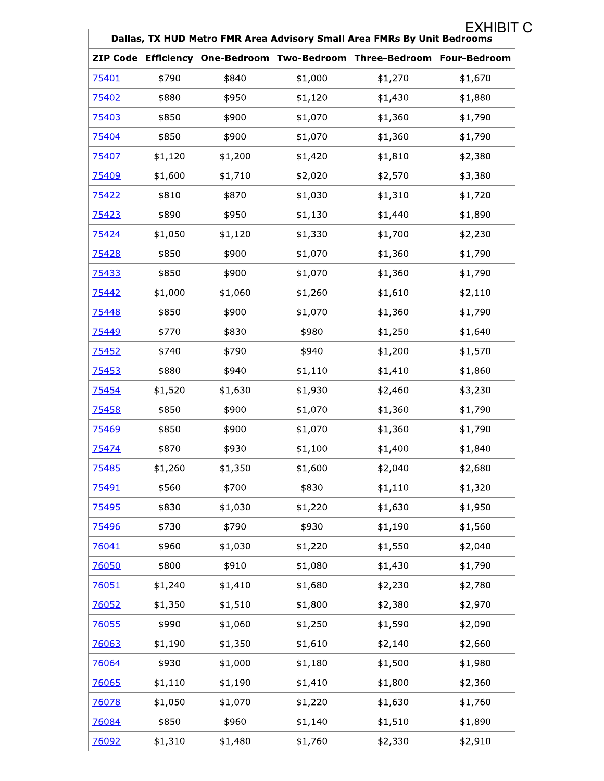| Dallas, TX HUD Metro FMR Area Advisory Small Area FMRs By Unit Bedrooms<br>ZIP Code Efficiency One-Bedroom Two-Bedroom Three-Bedroom Four-Bedroom |         |         |         |         |         |  |
|---------------------------------------------------------------------------------------------------------------------------------------------------|---------|---------|---------|---------|---------|--|
|                                                                                                                                                   |         |         |         |         |         |  |
| <u>75401</u>                                                                                                                                      | \$790   | \$840   | \$1,000 | \$1,270 | \$1,670 |  |
| 75402                                                                                                                                             | \$880   | \$950   | \$1,120 | \$1,430 | \$1,880 |  |
| <u>75403</u>                                                                                                                                      | \$850   | \$900   | \$1,070 | \$1,360 | \$1,790 |  |
| 75404                                                                                                                                             | \$850   | \$900   | \$1,070 | \$1,360 | \$1,790 |  |
| <u>75407</u>                                                                                                                                      | \$1,120 | \$1,200 | \$1,420 | \$1,810 | \$2,380 |  |
| 75409                                                                                                                                             | \$1,600 | \$1,710 | \$2,020 | \$2,570 | \$3,380 |  |
| <u>75422</u>                                                                                                                                      | \$810   | \$870   | \$1,030 | \$1,310 | \$1,720 |  |
| 75423                                                                                                                                             | \$890   | \$950   | \$1,130 | \$1,440 | \$1,890 |  |
| 75424                                                                                                                                             | \$1,050 | \$1,120 | \$1,330 | \$1,700 | \$2,230 |  |
| 75428                                                                                                                                             | \$850   | \$900   | \$1,070 | \$1,360 | \$1,790 |  |
| 75433                                                                                                                                             | \$850   | \$900   | \$1,070 | \$1,360 | \$1,790 |  |
| 75442                                                                                                                                             | \$1,000 | \$1,060 | \$1,260 | \$1,610 | \$2,110 |  |
| 75448                                                                                                                                             | \$850   | \$900   | \$1,070 | \$1,360 | \$1,790 |  |
| 75449                                                                                                                                             | \$770   | \$830   | \$980   | \$1,250 | \$1,640 |  |
| 75452                                                                                                                                             | \$740   | \$790   | \$940   | \$1,200 | \$1,570 |  |
| 75453                                                                                                                                             | \$880   | \$940   | \$1,110 | \$1,410 | \$1,860 |  |
| 75454                                                                                                                                             | \$1,520 | \$1,630 | \$1,930 | \$2,460 | \$3,230 |  |
| 75458                                                                                                                                             | \$850   | \$900   | \$1,070 | \$1,360 | \$1,790 |  |
| 75469                                                                                                                                             | \$850   | \$900   | \$1,070 | \$1,360 | \$1,790 |  |
| 75474                                                                                                                                             | \$870   | \$930   | \$1,100 | \$1,400 | \$1,840 |  |
| <u>75485</u>                                                                                                                                      | \$1,260 | \$1,350 | \$1,600 | \$2,040 | \$2,680 |  |
| 75491                                                                                                                                             | \$560   | \$700   | \$830   | \$1,110 | \$1,320 |  |
| 75495                                                                                                                                             | \$830   | \$1,030 | \$1,220 | \$1,630 | \$1,950 |  |
| 75496                                                                                                                                             | \$730   | \$790   | \$930   | \$1,190 | \$1,560 |  |
| 76041                                                                                                                                             | \$960   | \$1,030 | \$1,220 | \$1,550 | \$2,040 |  |
| 76050                                                                                                                                             | \$800   | \$910   | \$1,080 | \$1,430 | \$1,790 |  |
| <u>76051</u>                                                                                                                                      | \$1,240 | \$1,410 | \$1,680 | \$2,230 | \$2,780 |  |
| <u>76052</u>                                                                                                                                      | \$1,350 | \$1,510 | \$1,800 | \$2,380 | \$2,970 |  |
| 76055                                                                                                                                             | \$990   | \$1,060 | \$1,250 | \$1,590 | \$2,090 |  |
| 76063                                                                                                                                             | \$1,190 | \$1,350 | \$1,610 | \$2,140 | \$2,660 |  |
| 76064                                                                                                                                             | \$930   | \$1,000 | \$1,180 | \$1,500 | \$1,980 |  |
| 76065                                                                                                                                             | \$1,110 | \$1,190 | \$1,410 | \$1,800 | \$2,360 |  |
| 76078                                                                                                                                             | \$1,050 | \$1,070 | \$1,220 | \$1,630 | \$1,760 |  |
| 76084                                                                                                                                             | \$850   | \$960   | \$1,140 | \$1,510 | \$1,890 |  |
| 76092                                                                                                                                             | \$1,310 | \$1,480 | \$1,760 | \$2,330 | \$2,910 |  |